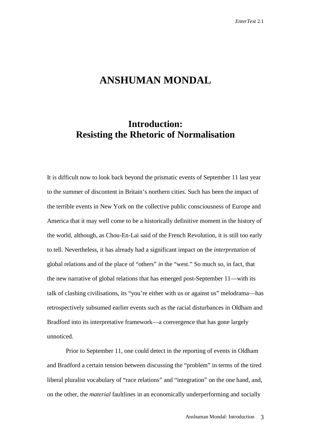## **ANSHUMAN MONDAL**

## **Introduction: Resisting the Rhetoric of Normalisation**

It is difficult now to look back beyond the prismatic events of September 11 last year to the summer of discontent in Britain's northern cities. Such has been the impact of the terrible events in New York on the collective public consciousness of Europe and America that it may well come to be a historically definitive moment in the history of the world, although, as Chou-En-Lai said of the French Revolution, it is still too early to tell. Nevertheless, it has already had a significant impact on the *interpretation* of global relations and of the place of "others" *in* the "west." So much so, in fact, that the new narrative of global relations that has emerged post-September 11—with its talk of clashing civilisations, its "you're either with us or against us" melodrama—has retrospectively subsumed earlier events such as the racial disturbances in Oldham and Bradford into its interpretative framework—a convergence that has gone largely unnoticed.

Prior to September 11, one could detect in the reporting of events in Oldham and Bradford a certain tension between discussing the "problem" in terms of the tired liberal pluralist vocabulary of "race relations" and "integration" on the one hand, and, on the other, the *material* faultlines in an economically underperforming and socially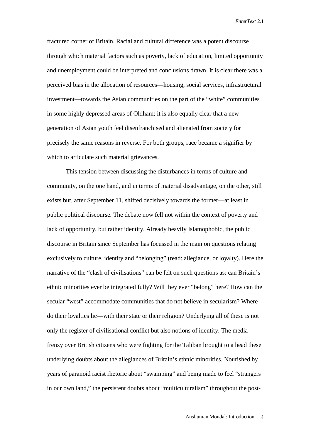fractured corner of Britain. Racial and cultural difference was a potent discourse through which material factors such as poverty, lack of education, limited opportunity and unemployment could be interpreted and conclusions drawn. It is clear there was a perceived bias in the allocation of resources—housing, social services, infrastructural investment—towards the Asian communities on the part of the "white" communities in some highly depressed areas of Oldham; it is also equally clear that a new generation of Asian youth feel disenfranchised and alienated from society for precisely the same reasons in reverse. For both groups, race became a signifier by which to articulate such material grievances.

This tension between discussing the disturbances in terms of culture and community, on the one hand, and in terms of material disadvantage, on the other, still exists but, after September 11, shifted decisively towards the former—at least in public political discourse. The debate now fell not within the context of poverty and lack of opportunity, but rather identity. Already heavily Islamophobic, the public discourse in Britain since September has focussed in the main on questions relating exclusively to culture, identity and "belonging" (read: allegiance, or loyalty). Here the narrative of the "clash of civilisations" can be felt on such questions as: can Britain's ethnic minorities ever be integrated fully? Will they ever "belong" here? How can the secular "west" accommodate communities that do not believe in secularism? Where do their loyalties lie—with their state or their religion? Underlying all of these is not only the register of civilisational conflict but also notions of identity. The media frenzy over British citizens who were fighting for the Taliban brought to a head these underlying doubts about the allegiances of Britain's ethnic minorities. Nourished by years of paranoid racist rhetoric about "swamping" and being made to feel "strangers in our own land," the persistent doubts about "multiculturalism" throughout the post-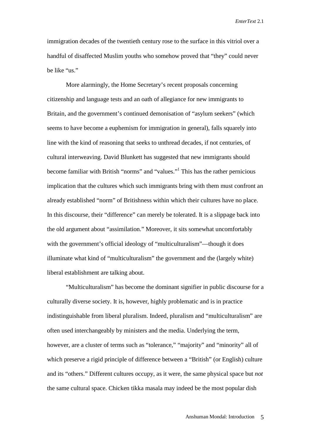immigration decades of the twentieth century rose to the surface in this vitriol over a handful of disaffected Muslim youths who somehow proved that "they" could never be like "us."

More alarmingly, the Home Secretary's recent proposals concerning citizenship and language tests and an oath of allegiance for new immigrants to Britain, and the government's continued demonisation of "asylum seekers" (which seems to have become a euphemism for immigration in general), falls squarely into line with the kind of reasoning that seeks to unthread decades, if not centuries, of cultural interweaving. David Blunkett has suggested that new immigrants should become familiar with British "norms" and "values."<sup>1</sup> This has the rather pernicious implication that the cultures which such immigrants bring with them must confront an already established "norm" of Britishness within which their cultures have no place. In this discourse, their "difference" can merely be tolerated. It is a slippage back into the old argument about "assimilation." Moreover, it sits somewhat uncomfortably with the government's official ideology of "multiculturalism"—though it does illuminate what kind of "multiculturalism" the government and the (largely white) liberal establishment are talking about.

"Multiculturalism" has become the dominant signifier in public discourse for a culturally diverse society. It is, however, highly problematic and is in practice indistinguishable from liberal pluralism. Indeed, pluralism and "multiculturalism" are often used interchangeably by ministers and the media. Underlying the term, however, are a cluster of terms such as "tolerance," "majority" and "minority" all of which preserve a rigid principle of difference between a "British" (or English) culture and its "others." Different cultures occupy, as it were, the same physical space but *not* the same cultural space. Chicken tikka masala may indeed be the most popular dish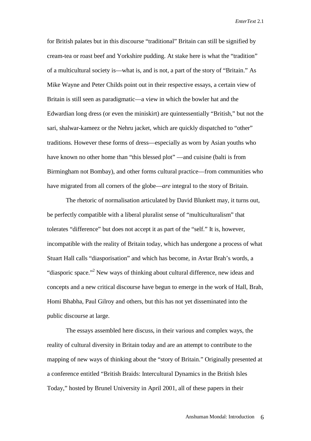for British palates but in this discourse "traditional" Britain can still be signified by cream-tea or roast beef and Yorkshire pudding. At stake here is what the "tradition" of a multicultural society is—what is, and is not, a part of the story of "Britain." As Mike Wayne and Peter Childs point out in their respective essays, a certain view of Britain is still seen as paradigmatic—a view in which the bowler hat and the Edwardian long dress (or even the miniskirt) are quintessentially "British," but not the sari, shalwar-kameez or the Nehru jacket, which are quickly dispatched to "other" traditions. However these forms of dress—especially as worn by Asian youths who have known no other home than "this blessed plot" —and cuisine (balti is from Birmingham not Bombay), and other forms cultural practice—from communities who have migrated from all corners of the globe—*are* integral to the story of Britain.

The rhetoric of normalisation articulated by David Blunkett may, it turns out, be perfectly compatible with a liberal pluralist sense of "multiculturalism" that tolerates "difference" but does not accept it as part of the "self." It is, however, incompatible with the reality of Britain today, which has undergone a process of what Stuart Hall calls "diasporisation" and which has become, in Avtar Brah's words, a "diasporic space."<sup>2</sup> New ways of thinking about cultural difference, new ideas and concepts and a new critical discourse have begun to emerge in the work of Hall, Brah, Homi Bhabha, Paul Gilroy and others, but this has not yet disseminated into the public discourse at large.

The essays assembled here discuss, in their various and complex ways, the reality of cultural diversity in Britain today and are an attempt to contribute to the mapping of new ways of thinking about the "story of Britain." Originally presented at a conference entitled "British Braids: Intercultural Dynamics in the British Isles Today," hosted by Brunel University in April 2001, all of these papers in their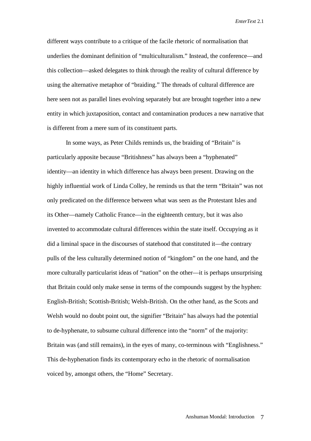different ways contribute to a critique of the facile rhetoric of normalisation that underlies the dominant definition of "multiculturalism." Instead, the conference—and this collection—asked delegates to think through the reality of cultural difference by using the alternative metaphor of "braiding." The threads of cultural difference are here seen not as parallel lines evolving separately but are brought together into a new entity in which juxtaposition, contact and contamination produces a new narrative that is different from a mere sum of its constituent parts.

In some ways, as Peter Childs reminds us, the braiding of "Britain" is particularly apposite because "Britishness" has always been a "hyphenated" identity—an identity in which difference has always been present. Drawing on the highly influential work of Linda Colley, he reminds us that the term "Britain" was not only predicated on the difference between what was seen as the Protestant Isles and its Other—namely Catholic France—in the eighteenth century, but it was also invented to accommodate cultural differences within the state itself. Occupying as it did a liminal space in the discourses of statehood that constituted it—the contrary pulls of the less culturally determined notion of "kingdom" on the one hand, and the more culturally particularist ideas of "nation" on the other—it is perhaps unsurprising that Britain could only make sense in terms of the compounds suggest by the hyphen: English-British; Scottish-British; Welsh-British. On the other hand, as the Scots and Welsh would no doubt point out, the signifier "Britain" has always had the potential to de-hyphenate, to subsume cultural difference into the "norm" of the majority: Britain was (and still remains), in the eyes of many, co-terminous with "Englishness." This de-hyphenation finds its contemporary echo in the rhetoric of normalisation voiced by, amongst others, the "Home" Secretary.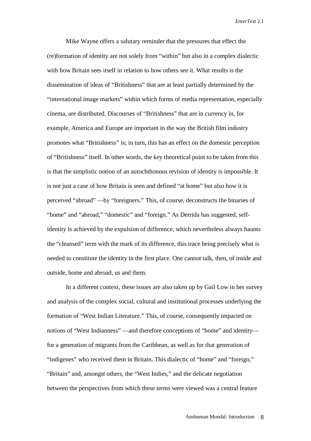Mike Wayne offers a salutary reminder that the pressures that effect the (re)formation of identity are not solely from "within" but also in a complex dialectic with how Britain sees itself in relation to how others see it. What results is the dissemination of ideas of "Britishness" that are at least partially determined by the "international image markets" within which forms of media representation, especially cinema, are distributed. Discourses of "Britishness" that are in currency in, for example, America and Europe are important in the way the British film industry promotes what "Britishness" is; in turn, this has an effect on the domestic perception of "Britishness" itself. In other words, the key theoretical point to be taken from this is that the simplistic notion of an autochthonous revision of identity is impossible. It is not just a case of how Britain is seen and defined "at home" but also how it is perceived "abroad" —by "foreigners." This, of course, deconstructs the binaries of "home" and "abroad," "domestic" and "foreign." As Derrida has suggested, selfidentity is achieved by the expulsion of difference, which nevertheless always haunts the "cleansed" term with the mark of its difference, this trace being precisely what is needed to constitute the identity in the first place. One cannot talk, then, of inside and outside, home and abroad, us and them.

In a different context, these issues are also taken up by Gail Low in her survey and analysis of the complex social, cultural and institutional processes underlying the formation of "West Indian Literature." This, of course, consequently impacted on notions of "West Indianness" —and therefore conceptions of "home" and identity for a generation of migrants from the Caribbean, as well as for that generation of "indigenes" who received them in Britain. This dialectic of "home" and "foreign," "Britain" and, amongst others, the "West Indies," and the delicate negotiation between the perspectives from which these terms were viewed was a central feature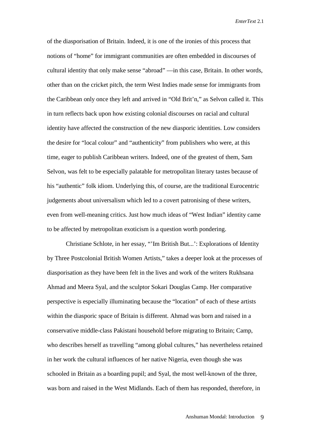of the diasporisation of Britain. Indeed, it is one of the ironies of this process that notions of "home" for immigrant communities are often embedded in discourses of cultural identity that only make sense "abroad" —in this case, Britain. In other words, other than on the cricket pitch, the term West Indies made sense for immigrants from the Caribbean only once they left and arrived in "Old Brit'n," as Selvon called it. This in turn reflects back upon how existing colonial discourses on racial and cultural identity have affected the construction of the new diasporic identities. Low considers the desire for "local colour" and "authenticity" from publishers who were, at this time, eager to publish Caribbean writers. Indeed, one of the greatest of them, Sam Selvon, was felt to be especially palatable for metropolitan literary tastes because of his "authentic" folk idiom. Underlying this, of course, are the traditional Eurocentric judgements about universalism which led to a covert patronising of these writers, even from well-meaning critics. Just how much ideas of "West Indian" identity came to be affected by metropolitan exoticism is a question worth pondering.

Christiane Schlote, in her essay, "'Im British But...': Explorations of Identity by Three Postcolonial British Women Artists," takes a deeper look at the processes of diasporisation as they have been felt in the lives and work of the writers Rukhsana Ahmad and Meera Syal, and the sculptor Sokari Douglas Camp. Her comparative perspective is especially illuminating because the "location" of each of these artists within the diasporic space of Britain is different. Ahmad was born and raised in a conservative middle-class Pakistani household before migrating to Britain; Camp, who describes herself as travelling "among global cultures," has nevertheless retained in her work the cultural influences of her native Nigeria, even though she was schooled in Britain as a boarding pupil; and Syal, the most well-known of the three, was born and raised in the West Midlands. Each of them has responded, therefore, in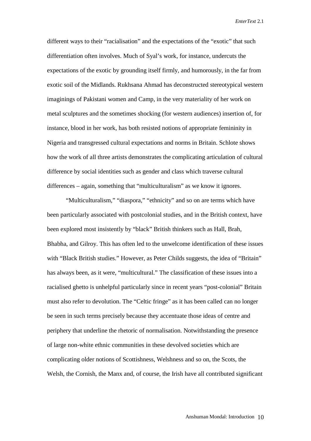different ways to their "racialisation" and the expectations of the "exotic" that such differentiation often involves. Much of Syal's work, for instance, undercuts the expectations of the exotic by grounding itself firmly, and humorously, in the far from exotic soil of the Midlands. Rukhsana Ahmad has deconstructed stereotypical western imaginings of Pakistani women and Camp, in the very materiality of her work on metal sculptures and the sometimes shocking (for western audiences) insertion of, for instance, blood in her work, has both resisted notions of appropriate femininity in Nigeria and transgressed cultural expectations and norms in Britain. Schlote shows how the work of all three artists demonstrates the complicating articulation of cultural difference by social identities such as gender and class which traverse cultural differences – again, something that "multiculturalism" as we know it ignores.

"Multiculturalism," "diaspora," "ethnicity" and so on are terms which have been particularly associated with postcolonial studies, and in the British context, have been explored most insistently by "black" British thinkers such as Hall, Brah, Bhabha, and Gilroy. This has often led to the unwelcome identification of these issues with "Black British studies." However, as Peter Childs suggests, the idea of "Britain" has always been, as it were, "multicultural." The classification of these issues into a racialised ghetto is unhelpful particularly since in recent years "post-colonial" Britain must also refer to devolution. The "Celtic fringe" as it has been called can no longer be seen in such terms precisely because they accentuate those ideas of centre and periphery that underline the rhetoric of normalisation. Notwithstanding the presence of large non-white ethnic communities in these devolved societies which are complicating older notions of Scottishness, Welshness and so on, the Scots, the Welsh, the Cornish, the Manx and, of course, the Irish have all contributed significant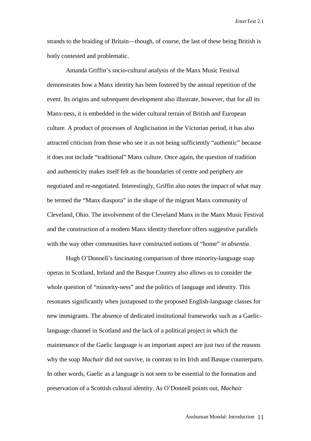strands to the braiding of Britain—though, of course, the last of these being British is hotly contested and problematic.

Amanda Griffin's socio-cultural analysis of the Manx Music Festival demonstrates how a Manx identity has been fostered by the annual repetition of the event. Its origins and subsequent development also illustrate, however, that for all its Manx-ness, it is embedded in the wider cultural terrain of British and European culture. A product of processes of Anglicisation in the Victorian period, it has also attracted criticism from those who see it as not being sufficiently "authentic" because it does not include "traditional" Manx culture. Once again, the question of tradition and authenticity makes itself felt as the boundaries of centre and periphery are negotiated and re-negotiated. Interestingly, Griffin also notes the impact of what may be termed the "Manx diaspora" in the shape of the migrant Manx community of Cleveland, Ohio. The involvement of the Cleveland Manx in the Manx Music Festival and the construction of a modern Manx identity therefore offers suggestive parallels with the way other communities have constructed notions of "home" *in absentia*.

Hugh O'Donnell's fascinating comparison of three minority-language soap operas in Scotland, Ireland and the Basque Country also allows us to consider the whole question of "minority-ness" and the politics of language and identity. This resonates significantly when juxtaposed to the proposed English-language classes for new immigrants. The absence of dedicated institutional frameworks such as a Gaeliclanguage channel in Scotland and the lack of a political project in which the maintenance of the Gaelic language is an important aspect are just two of the reasons why the soap *Machair* did not survive, in contrast to its Irish and Basque counterparts. In other words, Gaelic as a language is not seen to be essential to the formation and preservation of a Scottish cultural identity. As O'Donnell points out, *Machair*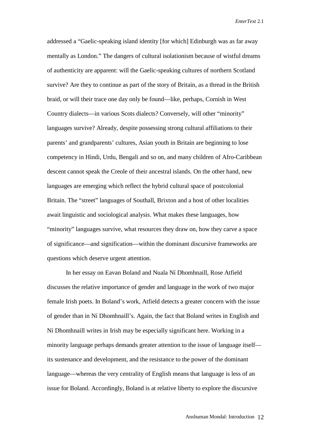addressed a "Gaelic-speaking island identity [for which] Edinburgh was as far away mentally as London." The dangers of cultural isolationism because of wistful dreams of authenticity are apparent: will the Gaelic-speaking cultures of northern Scotland survive? Are they to continue as part of the story of Britain, as a thread in the British braid, or will their trace one day only be found—like, perhaps, Cornish in West Country dialects—in various Scots dialects? Conversely, will other "minority" languages survive? Already, despite possessing strong cultural affiliations to their parents' and grandparents' cultures, Asian youth in Britain are beginning to lose competency in Hindi, Urdu, Bengali and so on, and many children of Afro-Caribbean descent cannot speak the Creole of their ancestral islands. On the other hand, new languages are emerging which reflect the hybrid cultural space of postcolonial Britain. The "street" languages of Southall, Brixton and a host of other localities await linguistic and sociological analysis. What makes these languages, how "minority" languages survive, what resources they draw on, how they carve a space of significance—and signification—within the dominant discursive frameworks are questions which deserve urgent attention.

In her essay on Eavan Boland and Nuala Ní Dhomhnaill, Rose Atfield discusses the relative importance of gender and language in the work of two major female Irish poets. In Boland's work, Atfield detects a greater concern with the issue of gender than in Ní Dhomhnaill's. Again, the fact that Boland writes in English and Ní Dhomhnaill writes in Irish may be especially significant here. Working in a minority language perhaps demands greater attention to the issue of language itself its sustenance and development, and the resistance to the power of the dominant language—whereas the very centrality of English means that language is less of an issue for Boland. Accordingly, Boland is at relative liberty to explore the discursive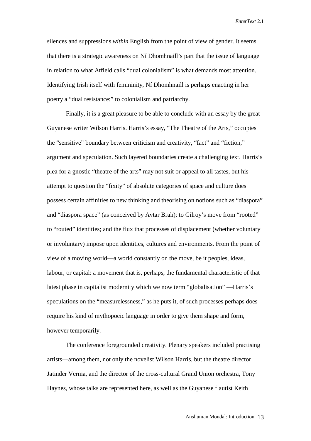silences and suppressions *within* English from the point of view of gender. It seems that there is a strategic awareness on Ní Dhomhnaill's part that the issue of language in relation to what Atfield calls "dual colonialism" is what demands most attention. Identifying Irish itself with femininity, Ní Dhomhnaill is perhaps enacting in her poetry a "dual resistance:" to colonialism and patriarchy.

Finally, it is a great pleasure to be able to conclude with an essay by the great Guyanese writer Wilson Harris. Harris's essay, "The Theatre of the Arts," occupies the "sensitive" boundary between criticism and creativity, "fact" and "fiction," argument and speculation. Such layered boundaries create a challenging text. Harris's plea for a gnostic "theatre of the arts" may not suit or appeal to all tastes, but his attempt to question the "fixity" of absolute categories of space and culture does possess certain affinities to new thinking and theorising on notions such as "diaspora" and "diaspora space" (as conceived by Avtar Brah); to Gilroy's move from "rooted" to "routed" identities; and the flux that processes of displacement (whether voluntary or involuntary) impose upon identities, cultures and environments. From the point of view of a moving world—a world constantly on the move, be it peoples, ideas, labour, or capital: a movement that is, perhaps, the fundamental characteristic of that latest phase in capitalist modernity which we now term "globalisation" —Harris's speculations on the "measurelessness," as he puts it, of such processes perhaps does require his kind of mythopoeic language in order to give them shape and form, however temporarily.

The conference foregrounded creativity. Plenary speakers included practising artists—among them, not only the novelist Wilson Harris, but the theatre director Jatinder Verma, and the director of the cross-cultural Grand Union orchestra, Tony Haynes, whose talks are represented here, as well as the Guyanese flautist Keith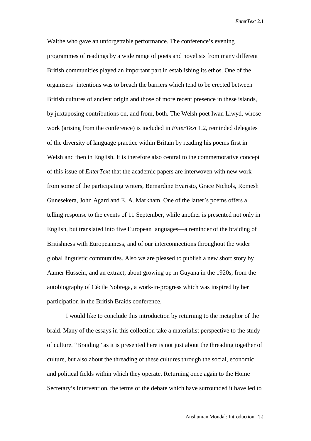Waithe who gave an unforgettable performance. The conference's evening programmes of readings by a wide range of poets and novelists from many different British communities played an important part in establishing its ethos. One of the organisers' intentions was to breach the barriers which tend to be erected between British cultures of ancient origin and those of more recent presence in these islands, by juxtaposing contributions on, and from, both. The Welsh poet Iwan Llwyd, whose work (arising from the conference) is included in *EnterText* 1.2, reminded delegates of the diversity of language practice within Britain by reading his poems first in Welsh and then in English. It is therefore also central to the commemorative concept of this issue of *EnterText* that the academic papers are interwoven with new work from some of the participating writers, Bernardine Evaristo, Grace Nichols, Romesh Gunesekera, John Agard and E. A. Markham. One of the latter's poems offers a telling response to the events of 11 September, while another is presented not only in English, but translated into five European languages—a reminder of the braiding of Britishness with Europeanness, and of our interconnections throughout the wider global linguistic communities. Also we are pleased to publish a new short story by Aamer Hussein, and an extract, about growing up in Guyana in the 1920s, from the autobiography of Cécile Nobrega, a work-in-progress which was inspired by her participation in the British Braids conference.

I would like to conclude this introduction by returning to the metaphor of the braid. Many of the essays in this collection take a materialist perspective to the study of culture. "Braiding" as it is presented here is not just about the threading together of culture, but also about the threading of these cultures through the social, economic, and political fields within which they operate. Returning once again to the Home Secretary's intervention, the terms of the debate which have surrounded it have led to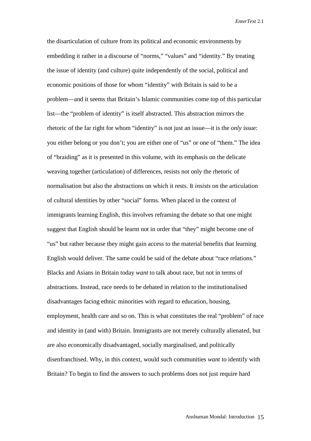the disarticulation of culture from its political and economic environments by embedding it rather in a discourse of "norms," "values" and "identity." By treating the issue of identity (and culture) quite independently of the social, political and economic positions of those for whom "identity" with Britain is said to be a problem—and it seems that Britain's Islamic communities come top of this particular list—the "problem of identity" is itself abstracted. This abstraction mirrors the rhetoric of the far right for whom "identity" is not just an issue—it is the *only* issue: you either belong or you don't; you are either one of "us" or one of "them." The idea of "braiding" as it is presented in this volume, with its emphasis on the delicate weaving together (articulation) of differences, resists not only the rhetoric of normalisation but also the abstractions on which it rests. It *insists* on the articulation of cultural identities by other "social" forms. When placed in the context of immigrants learning English, this involves reframing the debate so that one might suggest that English should be learnt not in order that "they" might become one of "us" but rather because they might gain access to the material benefits that learning English would deliver. The same could be said of the debate about "race relations." Blacks and Asians in Britain today *want* to talk about race, but not in terms of abstractions. Instead, race needs to be debated in relation to the institutionalised disadvantages facing ethnic minorities with regard to education, housing, employment, health care and so on. This is what constitutes the real "problem" of race and identity in (and with) Britain. Immigrants are not merely culturally alienated, but are also economically disadvantaged, socially marginalised, and politically disenfranchised. Why, in this context, would such communities *want* to identify with Britain? To begin to find the answers to such problems does not just require hard